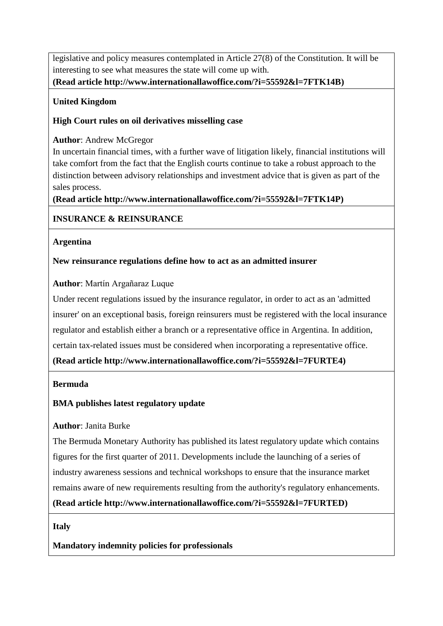# **INSURANCE & REINSURANCE**

## **Argentina**

## **[New reinsurance regulations define how to act as an admitted insurer](http://www.internationallawoffice.com/?i=55592&l=7FURTE4)**

## **Author**: [Martín Argañaraz Luque](http://www.internationallawoffice.com/?i=55592&l=7FURTE7)

Under recent regulations issued by the insurance regulator, in order to act as an 'admitted insurer' on an exceptional basis, foreign reinsurers must be registered with the local insurance regulator and establish either a branch or a representative office in Argentina. In addition, certain tax-related issues must be considered when incorporating a representative office.

**[\(Read article](http://www.internationallawoffice.com/?i=55592&l=7FURTE4) [http://www.internationallawoffice.com/?i=55592&l=7FURTE4\)](http://www.internationallawoffice.com/?i=55592&l=7FURTE4)**

### **Bermuda**

# **[BMA publishes latest regulatory update](http://www.internationallawoffice.com/?i=55592&l=7FURTED)**

## **Author**: [Janita Burke](http://www.internationallawoffice.com/?i=55592&l=7FURTEG)

The Bermuda Monetary Authority has published its latest regulatory update which contains figures for the first quarter of 2011. Developments include the launching of a series of industry awareness sessions and technical workshops to ensure that the insurance market remains aware of new requirements resulting from the authority's regulatory enhancements.

**[\(Read article](http://www.internationallawoffice.com/?i=55592&l=7FURTED) [http://www.internationallawoffice.com/?i=55592&l=7FURTED\)](http://www.internationallawoffice.com/?i=55592&l=7FURTED)**

**Italy** 

## **[Mandatory indemnity policies for professionals](http://www.internationallawoffice.com/?i=55592&l=7FURTEU)**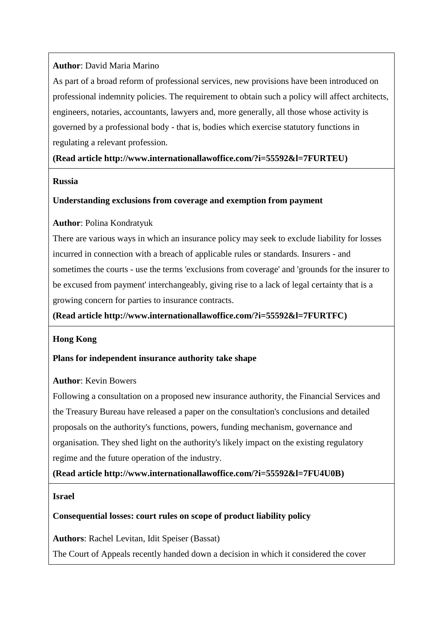## **Author**: David [Maria Marino](http://www.internationallawoffice.com/?i=55592&l=7FURTF6)

As part of a broad reform of professional services, new provisions have been introduced on professional indemnity policies. The requirement to obtain such a policy will affect architects, engineers, notaries, accountants, lawyers and, more generally, all those whose activity is governed by a professional body - that is, bodies which exercise statutory functions in regulating a relevant profession.

## **[\(Read article](http://www.internationallawoffice.com/?i=55592&l=7FURTEU) [http://www.internationallawoffice.com/?i=55592&l=7FURTEU\)](http://www.internationallawoffice.com/?i=55592&l=7FURTEU)**

#### **Russia**

## **[Understanding exclusions from coverage and exemption from payment](http://www.internationallawoffice.com/?i=55592&l=7FURTFC)**

## **Author**: [Polina Kondratyuk](http://www.internationallawoffice.com/?i=55592&l=7FURTFF)

There are various ways in which an insurance policy may seek to exclude liability for losses incurred in connection with a breach of applicable rules or standards. Insurers - and sometimes the courts - use the terms 'exclusions from coverage' and 'grounds for the insurer to be excused from payment' interchangeably, giving rise to a lack of legal certainty that is a growing concern for parties to insurance contracts.

**[\(Read article](http://www.internationallawoffice.com/?i=55592&l=7FURTFC) [http://www.internationallawoffice.com/?i=55592&l=7FURTFC\)](http://www.internationallawoffice.com/?i=55592&l=7FURTFC)**

## **Hong Kong**

## **[Plans for independent insurance authority take shape](http://www.internationallawoffice.com/?i=55592&l=7FU4U0B)**

## **Author**: [Kevin Bowers](http://www.internationallawoffice.com/?i=55592&l=7FU4U0E)

Following a consultation on a proposed new insurance authority, the Financial Services and the Treasury Bureau have released a paper on the consultation's conclusions and detailed proposals on the authority's functions, powers, funding mechanism, governance and organisation. They shed light on the authority's likely impact on the existing regulatory regime and the future operation of the industry.

**[\(Read article](http://www.internationallawoffice.com/?i=55592&l=7FU4U0B) [http://www.internationallawoffice.com/?i=55592&l=7FU4U0B\)](http://www.internationallawoffice.com/?i=55592&l=7FU4U0B)**

**Israel** 

# **[Consequential losses: court rules on scope of product liability policy](http://www.internationallawoffice.com/?i=55592&l=7FU4U11)**

**Authors**: [Rachel Levitan,](http://www.internationallawoffice.com/?i=55592&l=7FU4U1K) [Idit Speiser \(Bassat\)](http://www.internationallawoffice.com/?i=55592&l=7FU4U23)

The Court of Appeals recently handed down a decision in which it considered the cover